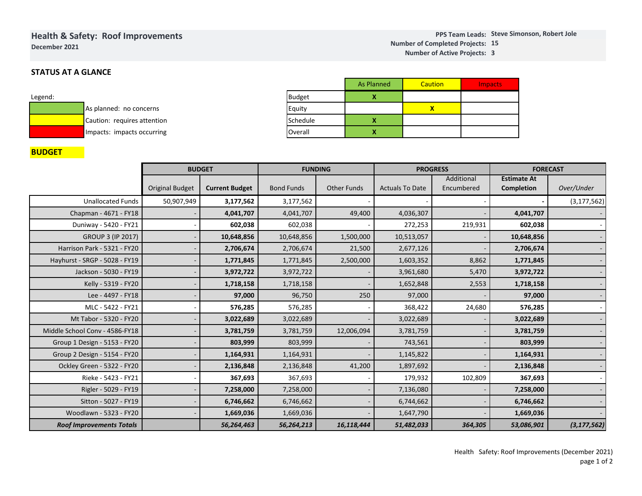## **Health & Safety: Roof ImprovementsDecember 2021**

# **STATUS AT A GLANCE**

| Legend: |                             |
|---------|-----------------------------|
|         | As planned: no concerns     |
|         | Caution: requires attention |
|         | Impacts: impacts occurring  |

|               | <b>As Planned</b> | Caution | <b>Impacts</b> |
|---------------|-------------------|---------|----------------|
| <b>Budget</b> |                   |         |                |
| Equity        |                   |         |                |
| Schedule      |                   |         |                |
| Overall       |                   |         |                |

## **BUDGET**

|                                 |                        | <b>BUDGET</b>         | <b>FUNDING</b>    |                    | <b>PROGRESS</b>        |                          | <b>FORECAST</b>                         |               |  |  |
|---------------------------------|------------------------|-----------------------|-------------------|--------------------|------------------------|--------------------------|-----------------------------------------|---------------|--|--|
|                                 | <b>Original Budget</b> | <b>Current Budget</b> | <b>Bond Funds</b> | <b>Other Funds</b> | <b>Actuals To Date</b> | Additional<br>Encumbered | <b>Estimate At</b><br><b>Completion</b> | Over/Under    |  |  |
| <b>Unallocated Funds</b>        | 50,907,949             | 3,177,562             | 3,177,562         |                    |                        |                          |                                         | (3, 177, 562) |  |  |
| Chapman - 4671 - FY18           |                        | 4,041,707             | 4,041,707         | 49,400             | 4,036,307              |                          | 4,041,707                               |               |  |  |
| Duniway - 5420 - FY21           |                        | 602,038               | 602,038           |                    | 272,253                | 219,931                  | 602,038                                 |               |  |  |
| <b>GROUP 3 (IP 2017)</b>        |                        | 10,648,856            | 10,648,856        | 1,500,000          | 10,513,057             |                          | 10,648,856                              |               |  |  |
| Harrison Park - 5321 - FY20     |                        | 2,706,674             | 2,706,674         | 21,500             | 2,677,126              |                          | 2,706,674                               |               |  |  |
| Hayhurst - SRGP - 5028 - FY19   |                        | 1,771,845             | 1,771,845         | 2,500,000          | 1,603,352              | 8,862                    | 1,771,845                               |               |  |  |
| Jackson - 5030 - FY19           |                        | 3,972,722             | 3,972,722         |                    | 3,961,680              | 5,470                    | 3,972,722                               |               |  |  |
| Kelly - 5319 - FY20             |                        | 1,718,158             | 1,718,158         |                    | 1,652,848              | 2,553                    | 1,718,158                               |               |  |  |
| Lee - 4497 - FY18               |                        | 97,000                | 96,750            | 250                | 97,000                 |                          | 97,000                                  |               |  |  |
| MLC - 5422 - FY21               |                        | 576,285               | 576,285           |                    | 368,422                | 24,680                   | 576,285                                 |               |  |  |
| Mt Tabor - 5320 - FY20          |                        | 3,022,689             | 3,022,689         |                    | 3,022,689              |                          | 3,022,689                               |               |  |  |
| Middle School Conv - 4586-FY18  |                        | 3,781,759             | 3,781,759         | 12,006,094         | 3,781,759              |                          | 3,781,759                               |               |  |  |
| Group 1 Design - 5153 - FY20    |                        | 803,999               | 803,999           |                    | 743,561                |                          | 803,999                                 |               |  |  |
| Group 2 Design - 5154 - FY20    |                        | 1,164,931             | 1,164,931         |                    | 1,145,822              |                          | 1,164,931                               |               |  |  |
| Ockley Green - 5322 - FY20      |                        | 2,136,848             | 2,136,848         | 41,200             | 1,897,692              |                          | 2,136,848                               |               |  |  |
| Rieke - 5423 - FY21             |                        | 367,693               | 367,693           |                    | 179,932                | 102,809                  | 367,693                                 |               |  |  |
| Rigler - 5029 - FY19            |                        | 7,258,000             | 7,258,000         |                    | 7,136,080              |                          | 7,258,000                               |               |  |  |
| Sitton - 5027 - FY19            |                        | 6,746,662             | 6,746,662         |                    | 6,744,662              |                          | 6,746,662                               |               |  |  |
| Woodlawn - 5323 - FY20          |                        | 1,669,036             | 1,669,036         |                    | 1,647,790              |                          | 1,669,036                               |               |  |  |
| <b>Roof Improvements Totals</b> |                        | 56,264,463            | 56,264,213        | 16,118,444         | 51,482,033             | 364,305                  | 53,086,901                              | (3, 177, 562) |  |  |